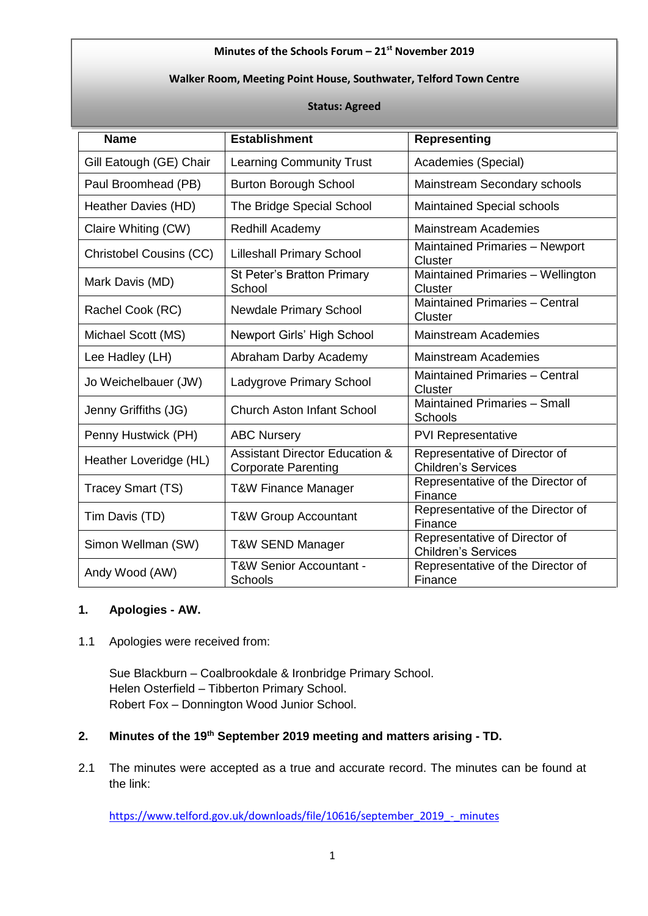### **Minutes of the Schools Forum – 21 st November 2019**

### **Walker Room, Meeting Point House, Southwater, Telford Town Centre**

#### **Status: Agreed**

| <b>Name</b>                    | <b>Establishment</b>                                                    | <b>Representing</b>                                         |  |
|--------------------------------|-------------------------------------------------------------------------|-------------------------------------------------------------|--|
| Gill Eatough (GE) Chair        | <b>Learning Community Trust</b>                                         | Academies (Special)                                         |  |
| Paul Broomhead (PB)            | <b>Burton Borough School</b>                                            | Mainstream Secondary schools                                |  |
| Heather Davies (HD)            | The Bridge Special School                                               | <b>Maintained Special schools</b>                           |  |
| Claire Whiting (CW)            | Redhill Academy                                                         | <b>Mainstream Academies</b>                                 |  |
| <b>Christobel Cousins (CC)</b> | <b>Lilleshall Primary School</b>                                        | Maintained Primaries - Newport<br>Cluster                   |  |
| Mark Davis (MD)                | St Peter's Bratton Primary<br>School                                    | Maintained Primaries - Wellington<br>Cluster                |  |
| Rachel Cook (RC)               | <b>Newdale Primary School</b>                                           | <b>Maintained Primaries - Central</b><br>Cluster            |  |
| Michael Scott (MS)             | Newport Girls' High School                                              | <b>Mainstream Academies</b>                                 |  |
| Lee Hadley (LH)                | Abraham Darby Academy                                                   | <b>Mainstream Academies</b>                                 |  |
| Jo Weichelbauer (JW)           | Ladygrove Primary School                                                | <b>Maintained Primaries - Central</b><br>Cluster            |  |
| Jenny Griffiths (JG)           | <b>Church Aston Infant School</b>                                       | Maintained Primaries - Small<br><b>Schools</b>              |  |
| Penny Hustwick (PH)            | <b>ABC Nursery</b>                                                      | <b>PVI Representative</b>                                   |  |
| Heather Loveridge (HL)         | <b>Assistant Director Education &amp;</b><br><b>Corporate Parenting</b> | Representative of Director of<br><b>Children's Services</b> |  |
| Tracey Smart (TS)              | <b>T&amp;W Finance Manager</b>                                          | Representative of the Director of<br>Finance                |  |
| Tim Davis (TD)                 | <b>T&amp;W Group Accountant</b>                                         | Representative of the Director of<br>Finance                |  |
| Simon Wellman (SW)             | <b>T&amp;W SEND Manager</b>                                             | Representative of Director of<br><b>Children's Services</b> |  |
| Andy Wood (AW)                 | T&W Senior Accountant -<br>Schools                                      | Representative of the Director of<br>Finance                |  |

### **1. Apologies - AW.**

# 1.1 Apologies were received from:

Sue Blackburn – Coalbrookdale & Ironbridge Primary School. Helen Osterfield – Tibberton Primary School. Robert Fox – Donnington Wood Junior School.

# **2. Minutes of the 19th September 2019 meeting and matters arising - TD.**

2.1 The minutes were accepted as a true and accurate record. The minutes can be found at the link:

[https://www.telford.gov.uk/downloads/file/10616/september\\_2019\\_-\\_minutes](https://www.telford.gov.uk/downloads/file/10616/september_2019_-_minutes)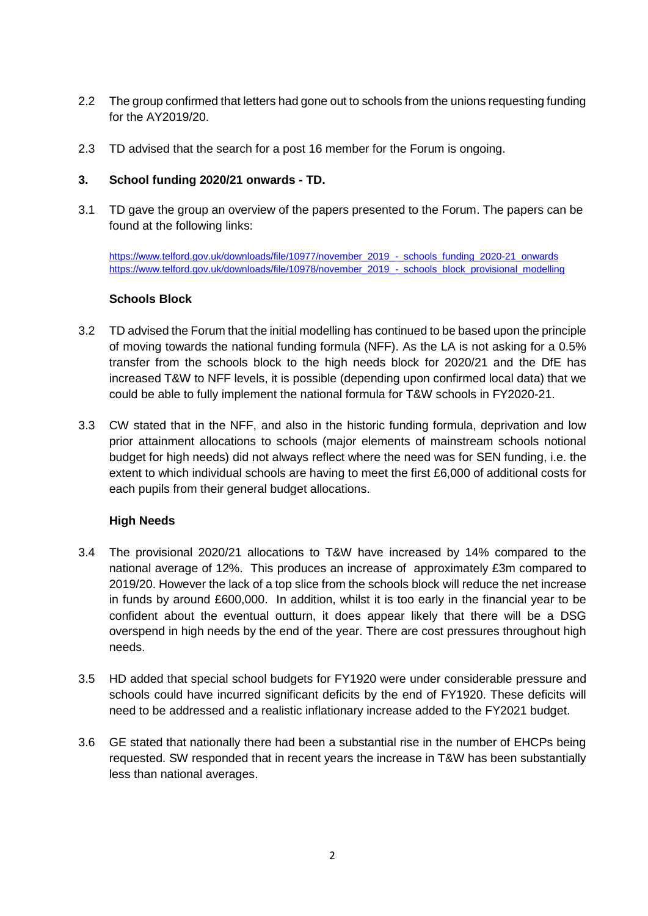- 2.2 The group confirmed that letters had gone out to schools from the unions requesting funding for the AY2019/20.
- 2.3 TD advised that the search for a post 16 member for the Forum is ongoing.

### **3. School funding 2020/21 onwards - TD.**

3.1 TD gave the group an overview of the papers presented to the Forum. The papers can be found at the following links:

[https://www.telford.gov.uk/downloads/file/10977/november\\_2019\\_-\\_schools\\_funding\\_2020-21\\_onwards](https://www.telford.gov.uk/downloads/file/10977/november_2019_-_schools_funding_2020-21_onwards) [https://www.telford.gov.uk/downloads/file/10978/november\\_2019\\_-\\_schools\\_block\\_provisional\\_modelling](https://www.telford.gov.uk/downloads/file/10978/november_2019_-_schools_block_provisional_modelling)

#### **Schools Block**

- 3.2 TD advised the Forum that the initial modelling has continued to be based upon the principle of moving towards the national funding formula (NFF). As the LA is not asking for a 0.5% transfer from the schools block to the high needs block for 2020/21 and the DfE has increased T&W to NFF levels, it is possible (depending upon confirmed local data) that we could be able to fully implement the national formula for T&W schools in FY2020-21.
- 3.3 CW stated that in the NFF, and also in the historic funding formula, deprivation and low prior attainment allocations to schools (major elements of mainstream schools notional budget for high needs) did not always reflect where the need was for SEN funding, i.e. the extent to which individual schools are having to meet the first £6,000 of additional costs for each pupils from their general budget allocations.

# **High Needs**

- 3.4 The provisional 2020/21 allocations to T&W have increased by 14% compared to the national average of 12%. This produces an increase of approximately £3m compared to 2019/20. However the lack of a top slice from the schools block will reduce the net increase in funds by around £600,000. In addition, whilst it is too early in the financial year to be confident about the eventual outturn, it does appear likely that there will be a DSG overspend in high needs by the end of the year. There are cost pressures throughout high needs.
- 3.5 HD added that special school budgets for FY1920 were under considerable pressure and schools could have incurred significant deficits by the end of FY1920. These deficits will need to be addressed and a realistic inflationary increase added to the FY2021 budget.
- 3.6 GE stated that nationally there had been a substantial rise in the number of EHCPs being requested. SW responded that in recent years the increase in T&W has been substantially less than national averages.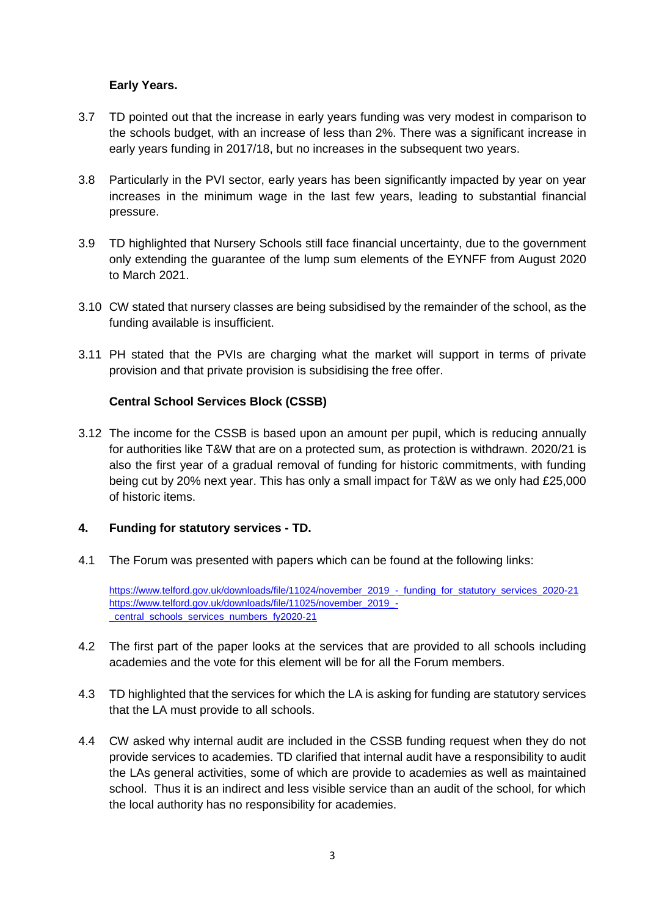# **Early Years.**

- 3.7 TD pointed out that the increase in early years funding was very modest in comparison to the schools budget, with an increase of less than 2%. There was a significant increase in early years funding in 2017/18, but no increases in the subsequent two years.
- 3.8 Particularly in the PVI sector, early years has been significantly impacted by year on year increases in the minimum wage in the last few years, leading to substantial financial pressure.
- 3.9 TD highlighted that Nursery Schools still face financial uncertainty, due to the government only extending the guarantee of the lump sum elements of the EYNFF from August 2020 to March 2021.
- 3.10 CW stated that nursery classes are being subsidised by the remainder of the school, as the funding available is insufficient.
- 3.11 PH stated that the PVIs are charging what the market will support in terms of private provision and that private provision is subsidising the free offer.

### **Central School Services Block (CSSB)**

3.12 The income for the CSSB is based upon an amount per pupil, which is reducing annually for authorities like T&W that are on a protected sum, as protection is withdrawn. 2020/21 is also the first year of a gradual removal of funding for historic commitments, with funding being cut by 20% next year. This has only a small impact for T&W as we only had £25,000 of historic items.

#### **4. Funding for statutory services - TD.**

4.1 The Forum was presented with papers which can be found at the following links:

[https://www.telford.gov.uk/downloads/file/11024/november\\_2019\\_-\\_funding\\_for\\_statutory\\_services\\_2020-21](https://www.telford.gov.uk/downloads/file/11024/november_2019_-_funding_for_statutory_services_2020-21) [https://www.telford.gov.uk/downloads/file/11025/november\\_2019\\_-](https://www.telford.gov.uk/downloads/file/11025/november_2019_-_central_schools_services_numbers_fy2020-21) [\\_central\\_schools\\_services\\_numbers\\_fy2020-21](https://www.telford.gov.uk/downloads/file/11025/november_2019_-_central_schools_services_numbers_fy2020-21)

- 4.2 The first part of the paper looks at the services that are provided to all schools including academies and the vote for this element will be for all the Forum members.
- 4.3 TD highlighted that the services for which the LA is asking for funding are statutory services that the LA must provide to all schools.
- 4.4 CW asked why internal audit are included in the CSSB funding request when they do not provide services to academies. TD clarified that internal audit have a responsibility to audit the LAs general activities, some of which are provide to academies as well as maintained school. Thus it is an indirect and less visible service than an audit of the school, for which the local authority has no responsibility for academies.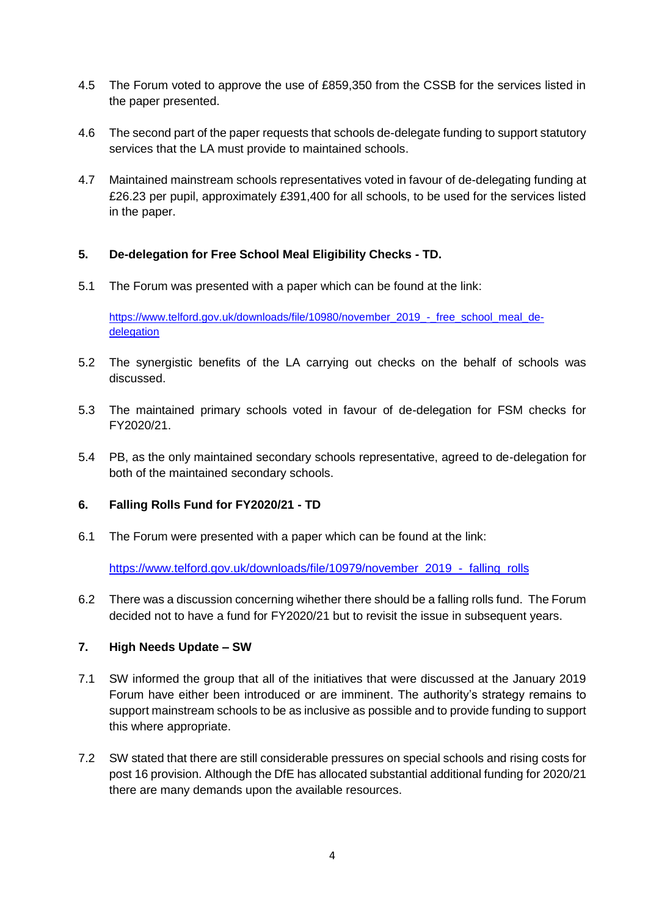- 4.5 The Forum voted to approve the use of £859,350 from the CSSB for the services listed in the paper presented.
- 4.6 The second part of the paper requests that schools de-delegate funding to support statutory services that the LA must provide to maintained schools.
- 4.7 Maintained mainstream schools representatives voted in favour of de-delegating funding at £26.23 per pupil, approximately £391,400 for all schools, to be used for the services listed in the paper.

### **5. De-delegation for Free School Meal Eligibility Checks - TD.**

5.1 The Forum was presented with a paper which can be found at the link:

[https://www.telford.gov.uk/downloads/file/10980/november\\_2019\\_-\\_free\\_school\\_meal\\_de](https://www.telford.gov.uk/downloads/file/10980/november_2019_-_free_school_meal_de-delegation)[delegation](https://www.telford.gov.uk/downloads/file/10980/november_2019_-_free_school_meal_de-delegation)

- 5.2 The synergistic benefits of the LA carrying out checks on the behalf of schools was discussed.
- 5.3 The maintained primary schools voted in favour of de-delegation for FSM checks for FY2020/21.
- 5.4 PB, as the only maintained secondary schools representative, agreed to de-delegation for both of the maintained secondary schools.

#### **6. Falling Rolls Fund for FY2020/21 - TD**

6.1 The Forum were presented with a paper which can be found at the link:

[https://www.telford.gov.uk/downloads/file/10979/november\\_2019\\_-\\_falling\\_rolls](https://www.telford.gov.uk/downloads/file/10979/november_2019_-_falling_rolls)

6.2 There was a discussion concerning wihether there should be a falling rolls fund. The Forum decided not to have a fund for FY2020/21 but to revisit the issue in subsequent years.

### **7. High Needs Update – SW**

- 7.1 SW informed the group that all of the initiatives that were discussed at the January 2019 Forum have either been introduced or are imminent. The authority's strategy remains to support mainstream schools to be as inclusive as possible and to provide funding to support this where appropriate.
- 7.2 SW stated that there are still considerable pressures on special schools and rising costs for post 16 provision. Although the DfE has allocated substantial additional funding for 2020/21 there are many demands upon the available resources.